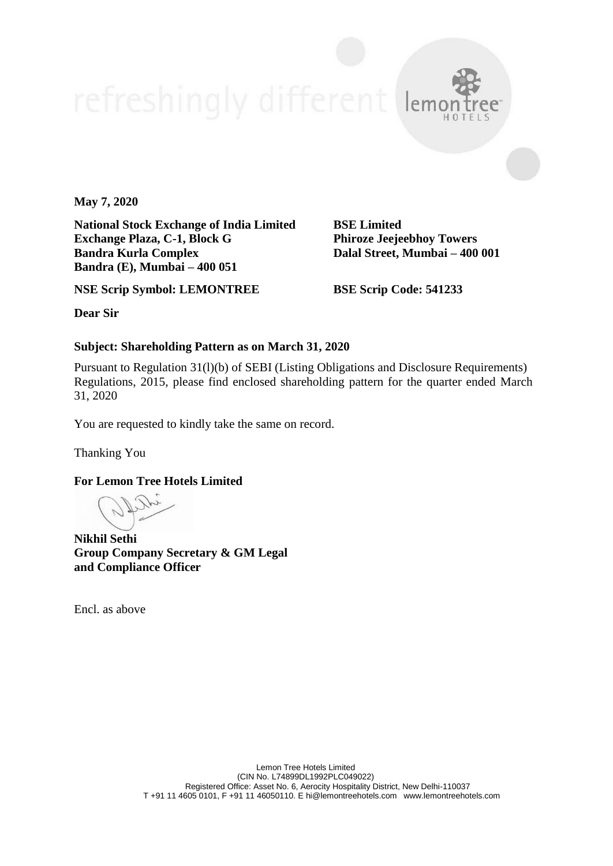**May 7, 2020**

**National Stock Exchange of India Limited BSE Limited Exchange Plaza, C-1, Block G Phiroze Jeejeebhoy Towers Bandra Kurla Complex Dalal Street, Mumbai – 400 001 Bandra (E), Mumbai – 400 051**

**NSE Scrip Symbol: LEMONTREE BSE Scrip Code: 541233**

**Dear Sir**

# **Subject: Shareholding Pattern as on March 31, 2020**

Pursuant to Regulation 31(l)(b) of SEBI (Listing Obligations and Disclosure Requirements) Regulations, 2015, please find enclosed shareholding pattern for the quarter ended March 31, 2020

You are requested to kindly take the same on record.

Thanking You

**For Lemon Tree Hotels Limited**

**Nikhil Sethi Group Company Secretary & GM Legal and Compliance Officer**

Encl. as above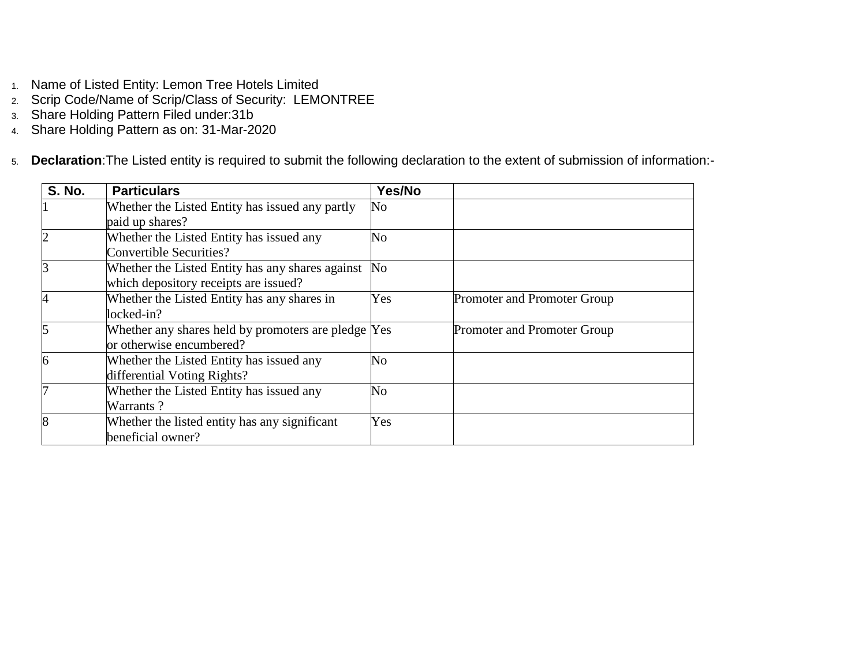- 1. Name of Listed Entity: Lemon Tree Hotels Limited
- 2. Scrip Code/Name of Scrip/Class of Security: LEMONTREE
- 3. Share Holding Pattern Filed under:31b
- 4. Share Holding Pattern as on: 31-Mar-2020

5. **Declaration**:The Listed entity is required to submit the following declaration to the extent of submission of information:-

| <b>S. No.</b> | <b>Particulars</b>                                  | Yes/No         |                             |
|---------------|-----------------------------------------------------|----------------|-----------------------------|
|               | Whether the Listed Entity has issued any partly     | N <sub>o</sub> |                             |
|               | paid up shares?                                     |                |                             |
|               | Whether the Listed Entity has issued any            | No             |                             |
|               | <b>Convertible Securities?</b>                      |                |                             |
| 3             | Whether the Listed Entity has any shares against    | No             |                             |
|               | which depository receipts are issued?               |                |                             |
| 4             | Whether the Listed Entity has any shares in         | Yes            | Promoter and Promoter Group |
|               | locked-in?                                          |                |                             |
| 5             | Whether any shares held by promoters are pledge Yes |                | Promoter and Promoter Group |
|               | or otherwise encumbered?                            |                |                             |
| 6             | Whether the Listed Entity has issued any            | No             |                             |
|               | differential Voting Rights?                         |                |                             |
|               | Whether the Listed Entity has issued any            | No             |                             |
|               | Warrants?                                           |                |                             |
| 8             | Whether the listed entity has any significant       | Yes            |                             |
|               | beneficial owner?                                   |                |                             |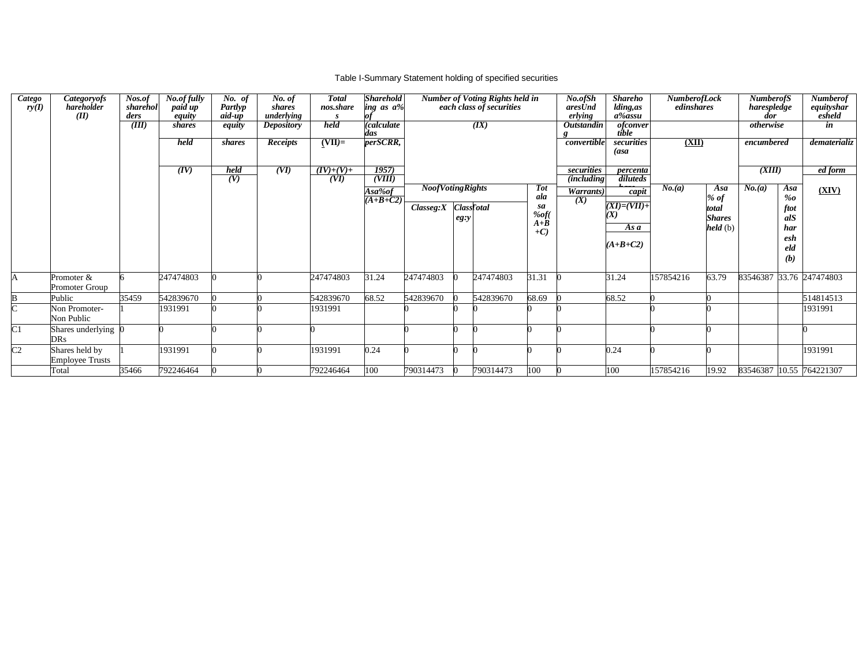## Table I-Summary Statement holding of specified securities

| $\overline{Catego}$<br>ry(I) | <i>Categoryofs</i><br>hareholder<br>(II) | Nos.of<br>sharehol<br>ders | No.of fully<br>paid up<br>equity | $\overline{N}$ o. of<br>Partlyp<br>aid-up | No. of<br>shares<br>underlying | <b>Total</b><br>nos.share | <b>Sharehold</b><br>ing as a% |                         |         | <b>Number of Voting Rights held in</b><br>each class of securities |                            | No.ofSh<br>aresUnd<br>erlying         | <b>Shareho</b><br>lding, as<br>a‰assu | <b>NumberofLock</b><br>edinshares |                 | <b>NumberofS</b><br>harespledge<br>dor |             | <b>Numberof</b><br>equityshar<br>esheld |
|------------------------------|------------------------------------------|----------------------------|----------------------------------|-------------------------------------------|--------------------------------|---------------------------|-------------------------------|-------------------------|---------|--------------------------------------------------------------------|----------------------------|---------------------------------------|---------------------------------------|-----------------------------------|-----------------|----------------------------------------|-------------|-----------------------------------------|
|                              |                                          | (III)                      | shares                           | equity                                    | <b>Depository</b>              | held                      | (calculate<br>das             |                         |         | (IX)                                                               |                            | <b>Outstandin</b>                     | <i>ofconver</i><br>tible              |                                   |                 | otherwise                              |             | in                                      |
|                              |                                          |                            | held                             | shares                                    | Receipts                       | $(VII)=$                  | perSCRR,                      |                         |         |                                                                    |                            | convertible                           | securities<br>(asa                    | (XII)                             |                 | encumbered                             |             | dematerializ                            |
|                              |                                          |                            | (IV)                             | held<br>(V)                               | (VI)                           | $(IV)+(V)+$<br>(VI)       | 1957<br>(VIII)                |                         |         |                                                                    |                            | securities                            | percenta<br>diluteds                  |                                   |                 | (XIII)                                 |             | ed form                                 |
|                              |                                          |                            |                                  |                                           |                                |                           | Asa‰of                        | <b>NoofVotingRights</b> |         |                                                                    | <b>Tot</b>                 | $\overline{(including)}$<br>Warrants) | $\overline{c$ apit                    | No. (a)                           | Asa             | No.(a)                                 | Asa         | (XIV)                                   |
|                              |                                          |                            |                                  |                                           |                                |                           | $(A+B+C2)$                    |                         |         | <b>Class</b> Fotal                                                 | ala<br>sa                  | (X)                                   | $(XI)=(VII)+$                         |                                   | $%$ of          |                                        | %o          |                                         |
|                              |                                          |                            |                                  |                                           |                                |                           |                               | Classeg: X              | $eg:$ y |                                                                    | $%$ of(                    |                                       |                                       |                                   | total<br>Shares |                                        | ftot<br>alS |                                         |
|                              |                                          |                            |                                  |                                           |                                |                           |                               |                         |         |                                                                    | $A + \overline{B}$<br>$+C$ |                                       | Asa                                   |                                   | held(b)         |                                        | har         |                                         |
|                              |                                          |                            |                                  |                                           |                                |                           |                               |                         |         |                                                                    |                            |                                       | $(A+B+C2)$                            |                                   |                 |                                        | esh<br>eld  |                                         |
|                              |                                          |                            |                                  |                                           |                                |                           |                               |                         |         |                                                                    |                            |                                       |                                       |                                   |                 |                                        | (b)         |                                         |
| А                            | Promoter &                               |                            | 247474803                        |                                           |                                | 247474803                 | 31.24                         | 247474803               |         | 247474803                                                          | 31.31                      |                                       | 31.24                                 | 157854216                         | 63.79           |                                        |             | 83546387 33.76 247474803                |
|                              | Promoter Group                           |                            |                                  |                                           |                                |                           |                               |                         |         |                                                                    |                            |                                       |                                       |                                   |                 |                                        |             |                                         |
| B                            | Public                                   | 35459                      | 542839670                        |                                           |                                | 542839670                 | 68.52                         | 542839670               |         | 542839670                                                          | 68.69                      |                                       | 68.52                                 |                                   |                 |                                        |             | 514814513                               |
| ┌                            | Non Promoter-<br>Non Public              |                            | 1931991                          |                                           |                                | 1931991                   |                               |                         |         |                                                                    |                            |                                       |                                       |                                   |                 |                                        |             | 1931991                                 |
| C1                           | Shares underlying<br>DRs                 |                            |                                  |                                           |                                |                           |                               |                         |         |                                                                    |                            |                                       |                                       |                                   |                 |                                        |             |                                         |
| $\overline{C}2$              | Shares held by                           |                            | 1931991                          |                                           |                                | 1931991                   | 0.24                          |                         |         |                                                                    |                            |                                       | 0.24                                  |                                   |                 |                                        |             | 1931991                                 |
|                              | <b>Employee Trusts</b><br>Total          | 35466                      | 792246464                        |                                           |                                | 792246464                 | 100                           | 790314473               |         | 790314473                                                          | 100                        |                                       | 100                                   | 157854216                         | 19.92           |                                        |             | 83546387 10.55 764221307                |
|                              |                                          |                            |                                  |                                           |                                |                           |                               |                         |         |                                                                    |                            |                                       |                                       |                                   |                 |                                        |             |                                         |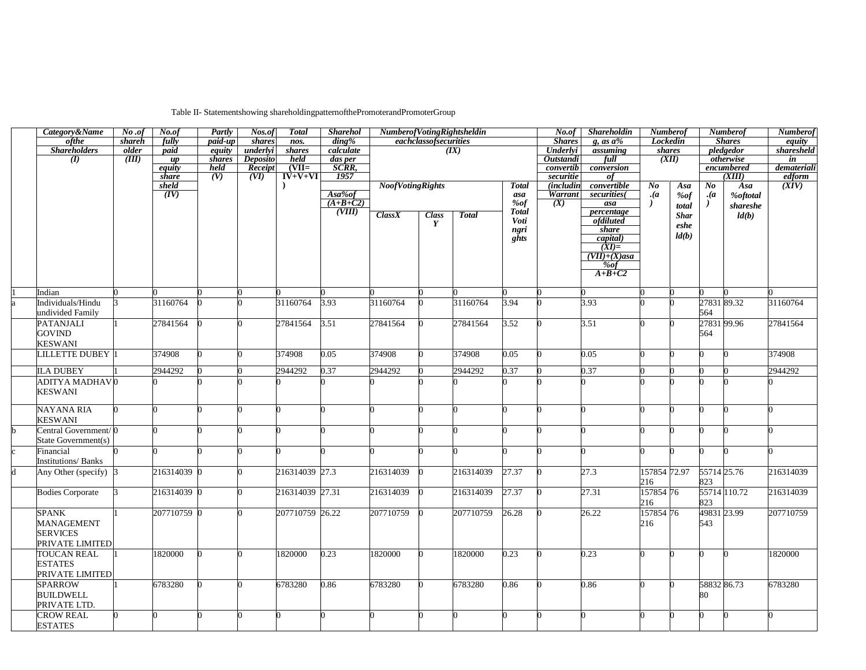## Table II- Statementshowing shareholdingpatternofthePromoterandPromoterGroup

| Category&Name                           | No. of             | No.of         | Partly  | Nos.of          | <b>Total</b>               | <b>Sharehol</b>  | NumberofVotingRightsheldin |                       |              |                 | No. of                      | Shareholdin                      | <b>Numberof</b> |             |                                  | <b>Numberof</b> | <b>Numberof</b>        |
|-----------------------------------------|--------------------|---------------|---------|-----------------|----------------------------|------------------|----------------------------|-----------------------|--------------|-----------------|-----------------------------|----------------------------------|-----------------|-------------|----------------------------------|-----------------|------------------------|
| ofthe                                   | shareh             | fully         | paid-up | shares          | nos.                       | $\dim g\%$       |                            | eachclassofsecurities |              |                 | <b>Shares</b>               | g, as $a\%$                      | Lockedin        |             |                                  | <b>Shares</b>   | equity<br>sharesheld   |
| <b>Shareholders</b>                     | older              | paid          | equity  | underlyi        | shares                     | calculate        |                            |                       | (IX)         |                 | Underlyi                    | assuming                         | shares          |             |                                  | pledgedor       |                        |
| (I)                                     | $(\overline{III})$ | up            | shares  | <b>Deposito</b> | held                       | das per<br>SCRR, |                            |                       |              |                 | Outstandi                   | full                             |                 | (XII)       |                                  | otherwise       | in                     |
|                                         |                    | equity        | held    | Receipt         | $(VII=$                    |                  |                            |                       |              |                 | convertib                   | conversion                       |                 |             |                                  | encumbered      | demateriali            |
|                                         |                    | share         | (V)     | (VI)            | $\overrightarrow{IV+V+VI}$ | 1957             |                            |                       |              |                 | securitie                   | of                               |                 |             |                                  | (XIII)          | $\frac{edform}{(XIV)}$ |
|                                         |                    | sheld<br>(IV) |         |                 |                            | Asa%of           | <b>NoofVotingRights</b>    |                       |              | <b>Total</b>    | <i>(includin</i><br>Warrant | convertible<br>securities(       | $N_{0}$<br>(a)  | Asa         | $\bm{N o}$<br>$\cdot$ ( <i>a</i> | Asa             |                        |
|                                         |                    |               |         |                 |                            | $(A+B+C2)$       |                            |                       |              | asa<br>%of      | (X)                         | asa                              |                 | %of         |                                  | <b>%oftotal</b> |                        |
|                                         |                    |               |         |                 |                            | (VIII)           | Class X                    |                       |              | <b>Total</b>    |                             | percentage                       |                 | total       |                                  | shareshe        |                        |
|                                         |                    |               |         |                 |                            |                  |                            | <b>Class</b>          | <b>Total</b> | Voti            |                             | ofdiluted                        |                 | <b>Shar</b> |                                  | ld(b)           |                        |
|                                         |                    |               |         |                 |                            |                  |                            |                       |              | ngri            |                             | share                            |                 | eshe        |                                  |                 |                        |
|                                         |                    |               |         |                 |                            |                  |                            |                       |              | $g\check{h}$ ts |                             | capital)                         |                 | ld(b)       |                                  |                 |                        |
|                                         |                    |               |         |                 |                            |                  |                            |                       |              |                 |                             | $(XI)=$                          |                 |             |                                  |                 |                        |
|                                         |                    |               |         |                 |                            |                  |                            |                       |              |                 |                             | $(VII)+(X)$ asa<br>$\frac{6}{6}$ |                 |             |                                  |                 |                        |
|                                         |                    |               |         |                 |                            |                  |                            |                       |              |                 |                             | $A+B+C2$                         |                 |             |                                  |                 |                        |
|                                         |                    |               |         |                 |                            |                  |                            |                       |              |                 |                             |                                  |                 |             |                                  |                 |                        |
| Indian                                  |                    |               |         |                 |                            |                  |                            |                       |              |                 |                             |                                  |                 |             |                                  |                 |                        |
| Individuals/Hindu                       |                    | 31160764      |         |                 | 31160764                   | 3.93             | 31160764                   |                       | 31160764     | 3.94            |                             | 3.93                             |                 |             | 2783189.32                       |                 | 31160764               |
| undivided Family                        |                    |               |         |                 |                            |                  |                            |                       |              |                 |                             |                                  |                 |             | 564                              |                 |                        |
| PATANJALI                               |                    | 27841564      |         |                 | 27841564                   | 3.51             | 27841564                   |                       | 27841564     | 3.52            |                             | 3.51                             |                 |             | 27831 99.96                      |                 | 27841564               |
| <b>GOVIND</b>                           |                    |               |         |                 |                            |                  |                            |                       |              |                 |                             |                                  |                 |             | 564                              |                 |                        |
| <b>KESWANI</b>                          |                    |               |         |                 |                            |                  |                            |                       |              |                 |                             |                                  |                 |             |                                  |                 |                        |
| <b>LILLETTE DUBEY</b>                   |                    | 374908        |         |                 | 374908                     | 0.05             | 374908                     |                       | 374908       | 0.05            |                             | 0.05                             |                 |             |                                  |                 | 374908                 |
|                                         |                    | 2944292       |         |                 | 2944292                    | 0.37             |                            |                       | 2944292      | 0.37            |                             | 0.37                             |                 |             |                                  |                 | 2944292                |
| <b>ILA DUBEY</b>                        |                    |               |         |                 |                            |                  | 2944292                    |                       |              |                 |                             |                                  |                 |             |                                  |                 |                        |
| <b>ADITYA MADHAVO</b><br><b>KESWANI</b> |                    |               |         |                 |                            |                  |                            |                       |              |                 |                             |                                  |                 |             |                                  |                 |                        |
|                                         |                    |               |         |                 |                            |                  |                            |                       |              |                 |                             |                                  |                 |             |                                  |                 |                        |
| <b>NAYANA RIA</b>                       |                    |               |         |                 |                            |                  |                            |                       |              |                 |                             |                                  |                 |             |                                  |                 |                        |
| <b>KESWANI</b>                          |                    |               |         |                 |                            |                  |                            |                       |              |                 |                             |                                  |                 |             |                                  |                 |                        |
| Central Government/0                    |                    |               |         |                 |                            |                  |                            |                       |              |                 |                             |                                  |                 |             |                                  |                 |                        |
| State Government(s)                     |                    |               |         |                 |                            |                  |                            |                       |              |                 |                             |                                  |                 |             |                                  |                 |                        |
| Financial                               |                    |               |         |                 |                            |                  |                            |                       |              |                 |                             |                                  |                 |             |                                  |                 |                        |
| <b>Institutions/Banks</b>               |                    |               |         |                 |                            |                  |                            |                       |              |                 |                             |                                  |                 |             |                                  |                 |                        |
| Any Other (specify) 3                   |                    | 216314039 0   |         |                 | 216314039 27.3             |                  | 216314039                  |                       | 216314039    | 27.37           |                             | 27.3                             | 157854 72.97    |             | 55714 25.76                      |                 | 216314039              |
|                                         |                    |               |         |                 |                            |                  |                            |                       |              |                 |                             |                                  | 216             |             | 823                              |                 |                        |
| <b>Bodies Corporate</b>                 |                    | 216314039 0   |         |                 | 216314039 27.31            |                  | 216314039                  |                       | 216314039    | 27.37           |                             | 27.31                            | 157854 76       |             |                                  | 55714 110.72    | 216314039              |
|                                         |                    |               |         |                 |                            |                  |                            |                       |              |                 |                             |                                  | 216             |             | 823                              |                 |                        |
| <b>SPANK</b>                            |                    | 207710759 0   |         |                 | 207710759 26.22            |                  | 207710759                  |                       | 207710759    | 26.28           |                             | 26.22                            | 157854 76       |             | 49831 23.99                      |                 | 207710759              |
| MANAGEMENT                              |                    |               |         |                 |                            |                  |                            |                       |              |                 |                             |                                  | 216             |             | 543                              |                 |                        |
| <b>SERVICES</b>                         |                    |               |         |                 |                            |                  |                            |                       |              |                 |                             |                                  |                 |             |                                  |                 |                        |
| PRIVATE LIMITED                         |                    |               |         |                 |                            |                  |                            |                       |              |                 |                             |                                  |                 |             |                                  |                 |                        |
| <b>TOUCAN REAL</b>                      |                    | 1820000       |         |                 | 1820000                    | 0.23             | 820000                     |                       | 1820000      | 0.23            |                             | 0.23                             |                 |             |                                  |                 | 1820000                |
| <b>ESTATES</b>                          |                    |               |         |                 |                            |                  |                            |                       |              |                 |                             |                                  |                 |             |                                  |                 |                        |
| PRIVATE LIMITED                         |                    |               |         |                 |                            |                  |                            |                       |              |                 |                             |                                  |                 |             |                                  |                 |                        |
| <b>SPARROW</b>                          |                    | 6783280       |         |                 | 6783280                    | 0.86             | 6783280                    | 0                     | 6783280      | 0.86            |                             | 0.86                             | O               |             | 58832 86.73                      |                 | 6783280                |
| <b>BUILDWELL</b>                        |                    |               |         |                 |                            |                  |                            |                       |              |                 |                             |                                  |                 |             | 80                               |                 |                        |
| PRIVATE LTD.                            |                    |               |         |                 |                            |                  |                            |                       |              |                 |                             |                                  |                 |             |                                  |                 |                        |
| <b>CROW REAL</b>                        |                    |               |         | 0               |                            |                  |                            |                       |              |                 |                             | ∩                                |                 |             |                                  | $\Omega$        |                        |
| <b>ESTATES</b>                          |                    |               |         |                 |                            |                  |                            |                       |              |                 |                             |                                  |                 |             |                                  |                 |                        |
|                                         |                    |               |         |                 |                            |                  |                            |                       |              |                 |                             |                                  |                 |             |                                  |                 |                        |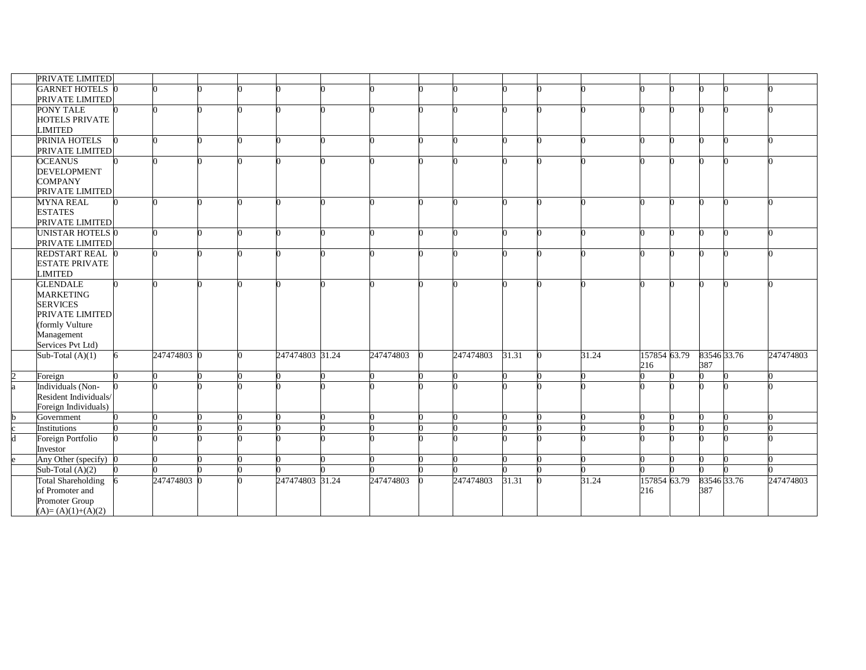| PRIVATE LIMITED           |   |             |  |                 |           |           |       |       |              |             |           |
|---------------------------|---|-------------|--|-----------------|-----------|-----------|-------|-------|--------------|-------------|-----------|
| <b>GARNET HOTELS 0</b>    |   |             |  |                 |           |           |       |       |              |             |           |
| PRIVATE LIMITED           |   |             |  |                 |           |           |       |       |              |             |           |
| PONY TALE                 |   |             |  |                 |           |           |       |       |              | ∩           |           |
| HOTELS PRIVATE            |   |             |  |                 |           |           |       |       |              |             |           |
| <b>LIMITED</b>            |   |             |  |                 |           |           |       |       |              |             |           |
| PRINIA HOTELS             |   |             |  |                 |           |           |       |       |              | n           |           |
| PRIVATE LIMITED           |   |             |  |                 |           |           |       |       |              |             |           |
| <b>OCEANUS</b>            |   |             |  |                 |           |           |       |       |              |             |           |
| <b>DEVELOPMENT</b>        |   |             |  |                 |           |           |       |       |              |             |           |
| <b>COMPANY</b>            |   |             |  |                 |           |           |       |       |              |             |           |
| PRIVATE LIMITED           |   |             |  |                 |           |           |       |       |              |             |           |
| <b>MYNA REAL</b>          |   |             |  |                 |           |           |       |       |              | O           |           |
| <b>ESTATES</b>            |   |             |  |                 |           |           |       |       |              |             |           |
| PRIVATE LIMITED           |   |             |  |                 |           |           |       |       |              |             |           |
| UNISTAR HOTELS 0          |   |             |  |                 |           |           |       |       | n            | 0           |           |
| PRIVATE LIMITED           |   |             |  |                 |           |           |       |       |              |             |           |
| REDSTART REAL 0           |   |             |  |                 |           |           |       |       | ∩            | n           |           |
| <b>ESTATE PRIVATE</b>     |   |             |  |                 |           |           |       |       |              |             |           |
| LIMITED                   |   |             |  |                 |           |           |       |       |              |             |           |
| <b>GLENDALE</b>           |   |             |  |                 |           |           |       |       |              |             |           |
| <b>MARKETING</b>          |   |             |  |                 |           |           |       |       |              |             |           |
| <b>SERVICES</b>           |   |             |  |                 |           |           |       |       |              |             |           |
| PRIVATE LIMITED           |   |             |  |                 |           |           |       |       |              |             |           |
| (formly Vulture           |   |             |  |                 |           |           |       |       |              |             |           |
| Management                |   |             |  |                 |           |           |       |       |              |             |           |
| Services Pvt Ltd)         |   |             |  |                 |           |           |       |       |              |             |           |
| Sub-Total $(A)(1)$        | 6 | 247474803 0 |  | 247474803 31.24 | 247474803 | 247474803 | 31.31 | 31.24 | 157854 63.79 | 83546 33.76 | 247474803 |
|                           |   |             |  |                 |           |           |       |       | 216          | 387         |           |
| Foreign                   |   |             |  |                 |           |           |       |       |              |             |           |
| Individuals (Non-         |   |             |  |                 |           |           |       |       |              |             |           |
| Resident Individuals/     |   |             |  |                 |           |           |       |       |              |             |           |
| Foreign Individuals)      |   |             |  |                 |           |           |       |       |              |             |           |
| Government                |   |             |  |                 |           |           |       |       | U            |             |           |
| Institutions              |   |             |  |                 |           |           |       |       |              |             |           |
| Foreign Portfolio         |   |             |  |                 |           |           |       |       |              |             |           |
| Investor                  |   |             |  |                 |           |           |       |       |              |             |           |
| Any Other (specify) 0     |   |             |  |                 |           |           |       |       |              |             |           |
| Sub-Total $(A)(2)$        |   |             |  |                 |           |           |       |       |              |             |           |
| <b>Total Shareholding</b> |   | 247474803 0 |  | 247474803 31.24 | 247474803 | 247474803 | 31.31 | 31.24 | 157854 63.79 | 83546 33.76 | 247474803 |
| of Promoter and           |   |             |  |                 |           |           |       |       | 216          | 387         |           |
| Promoter Group            |   |             |  |                 |           |           |       |       |              |             |           |
| $(A)=(A)(1)+(A)(2)$       |   |             |  |                 |           |           |       |       |              |             |           |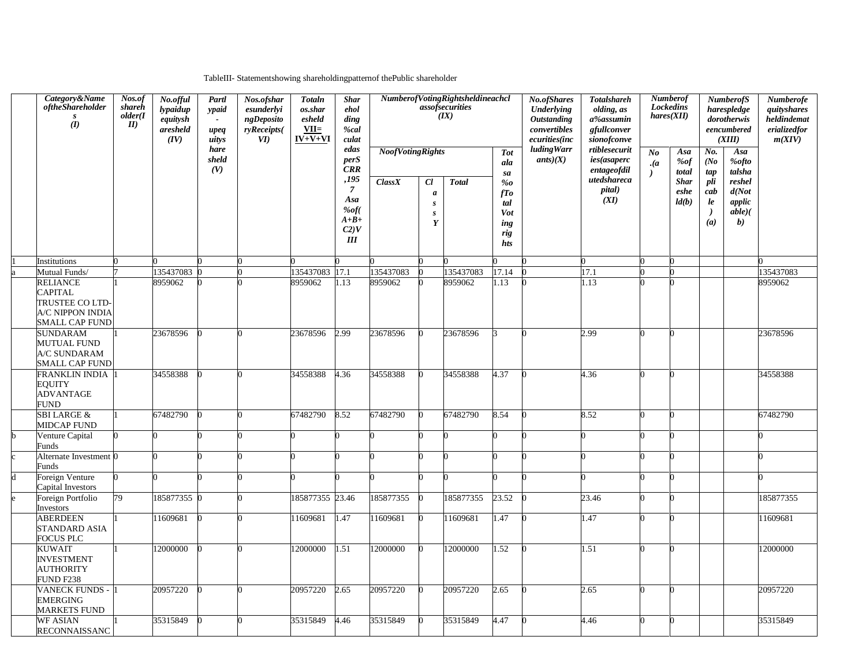TableIII- Statementshowing shareholdingpatternof thePublic shareholder

| Category&Name<br><i>oftheShareholder</i><br>S<br>(I)                                       | Nos.of<br>shareh<br>older(I)<br>II | No.offul<br>lypaidup<br>equitysh<br>aresheld<br>(IV) | Partl<br>ypaid<br>upeq<br>uitys | Nos.ofshar<br>esunderlyi<br>ngDeposito<br>ryReceipts(<br>$\boldsymbol{\mathit{VI}}$ | <b>Totaln</b><br>os.shar<br>esheld<br>$VII=$<br>$IV+V+VI$ | <b>Shar</b><br>ehol<br>ding<br>%cal<br>culat                                               |                                    |                                                      | NumberofVotingRightsheldineachcl<br>$\overrightarrow{assof}$ securities<br>(IX) |                                                                         | No.ofShares<br><b>Underlying</b><br><b>Outstanding</b><br>convertibles<br>ecurities(inc | <b>Numberof</b><br><b>Totalshareh</b><br><b>Lockedins</b><br>olding, as<br>hares(XII)<br>a%assumin<br>gfullconver<br>sionofconve |                                      | <b>NumberofS</b><br>harespledge<br>dorotherwis<br>eencumbered<br>(XIII) |                                                                |                                                                                       | Numberofe<br>quityshares<br>heldindemat<br>erializedfor<br>m(XIV) |
|--------------------------------------------------------------------------------------------|------------------------------------|------------------------------------------------------|---------------------------------|-------------------------------------------------------------------------------------|-----------------------------------------------------------|--------------------------------------------------------------------------------------------|------------------------------------|------------------------------------------------------|---------------------------------------------------------------------------------|-------------------------------------------------------------------------|-----------------------------------------------------------------------------------------|----------------------------------------------------------------------------------------------------------------------------------|--------------------------------------|-------------------------------------------------------------------------|----------------------------------------------------------------|---------------------------------------------------------------------------------------|-------------------------------------------------------------------|
|                                                                                            |                                    |                                                      | hare<br>sheld<br>(V)            |                                                                                     |                                                           | edas<br>perS<br><b>CRR</b><br>,195<br>$\overline{7}$<br>Asa<br>‰f(<br>$A+B+$<br>C2V<br>III | <b>NoofVotingRights</b><br>Class X | Cl<br>$\boldsymbol{a}$<br>$\boldsymbol{S}$<br>s<br>Y | <b>Total</b>                                                                    | <b>Tot</b><br>ala<br>sa<br>%o<br>fTo<br>tal<br>Vot<br>ing<br>rig<br>hts | <b>ludingWarr</b><br>ants(X)                                                            | rtiblesecurit<br>ies (as a perc<br>entageofdil<br>utedshareca<br>pital)<br>(XI)                                                  | N <sub>o</sub><br>$\cdot$ ( <i>a</i> | Asa<br><i>%of</i><br>total<br><b>Shar</b><br>eshe<br>ld(b)              | No.<br>(No)<br>tap<br>pli<br>cab<br>le<br>$\rightarrow$<br>(a) | Asa<br><b>%ofto</b><br>talsha<br>reshel<br>d(Not<br>applic<br>$able)$ (<br><b>b</b> ) |                                                                   |
| Institutions                                                                               |                                    |                                                      |                                 |                                                                                     |                                                           |                                                                                            |                                    |                                                      |                                                                                 |                                                                         |                                                                                         |                                                                                                                                  |                                      |                                                                         |                                                                |                                                                                       |                                                                   |
| Mutual Funds/                                                                              |                                    | 135437083                                            |                                 |                                                                                     | 135437083                                                 | 17.1                                                                                       | 135437083                          |                                                      | 135437083                                                                       | 17.14                                                                   |                                                                                         | 17.1                                                                                                                             |                                      |                                                                         |                                                                |                                                                                       | 135437083                                                         |
| <b>RELIANCE</b><br><b>CAPITAL</b><br>TRUSTEE CO LTD-<br>A/C NIPPON INDIA<br>SMALL CAP FUND |                                    | 8959062                                              |                                 |                                                                                     | 8959062                                                   | 1.13                                                                                       | 8959062                            |                                                      | 8959062                                                                         | 1.13                                                                    |                                                                                         | 1.13                                                                                                                             |                                      |                                                                         |                                                                |                                                                                       | 8959062                                                           |
| <b>SUNDARAM</b><br><b>MUTUAL FUND</b><br>A/C SUNDARAM<br><b>SMALL CAP FUND</b>             |                                    | 23678596                                             |                                 |                                                                                     | 23678596                                                  | 2.99                                                                                       | 23678596                           |                                                      | 23678596                                                                        | R                                                                       |                                                                                         | 2.99                                                                                                                             |                                      |                                                                         |                                                                |                                                                                       | 23678596                                                          |
| FRANKLIN INDIA<br><b>EQUITY</b><br><b>ADVANTAGE</b><br><b>FUND</b>                         |                                    | 34558388                                             |                                 |                                                                                     | 34558388                                                  | 4.36                                                                                       | 34558388                           |                                                      | 34558388                                                                        | 4.37                                                                    |                                                                                         | 4.36                                                                                                                             |                                      |                                                                         |                                                                |                                                                                       | 34558388                                                          |
| <b>SBI LARGE &amp;</b><br><b>MIDCAP FUND</b>                                               |                                    | 67482790                                             |                                 |                                                                                     | 67482790                                                  | 8.52                                                                                       | 67482790                           |                                                      | 67482790                                                                        | 8.54                                                                    |                                                                                         | 8.52                                                                                                                             |                                      |                                                                         |                                                                |                                                                                       | 67482790                                                          |
| Venture Capital<br>Funds                                                                   |                                    |                                                      |                                 |                                                                                     |                                                           |                                                                                            |                                    |                                                      |                                                                                 |                                                                         |                                                                                         |                                                                                                                                  |                                      |                                                                         |                                                                |                                                                                       |                                                                   |
| Alternate Investment 0<br>Funds                                                            |                                    |                                                      |                                 |                                                                                     | U                                                         |                                                                                            |                                    |                                                      |                                                                                 | U                                                                       |                                                                                         |                                                                                                                                  |                                      |                                                                         |                                                                |                                                                                       |                                                                   |
| Foreign Venture<br>Capital Investors                                                       |                                    |                                                      |                                 |                                                                                     |                                                           |                                                                                            |                                    |                                                      |                                                                                 |                                                                         |                                                                                         |                                                                                                                                  |                                      |                                                                         |                                                                |                                                                                       |                                                                   |
| Foreign Portfolio<br>Investors                                                             | 79                                 | 185877355 0                                          |                                 |                                                                                     | 185877355 23.46                                           |                                                                                            | 185877355                          |                                                      | 185877355                                                                       | 23.52                                                                   |                                                                                         | 23.46                                                                                                                            |                                      |                                                                         |                                                                |                                                                                       | 185877355                                                         |
| <b>ABERDEEN</b><br>STANDARD ASIA<br>FOCUS PLC                                              |                                    | 11609681                                             |                                 |                                                                                     | 11609681                                                  | 1.47                                                                                       | 11609681                           |                                                      | 11609681                                                                        | 1.47                                                                    |                                                                                         | 1.47                                                                                                                             |                                      |                                                                         |                                                                |                                                                                       | 11609681                                                          |
| <b>KUWAIT</b><br><b>INVESTMENT</b><br><b>AUTHORITY</b><br><b>FUND F238</b>                 |                                    | 12000000                                             |                                 |                                                                                     | 12000000                                                  | 1.51                                                                                       | 12000000                           |                                                      | 12000000                                                                        | 1.52                                                                    |                                                                                         | 1.51                                                                                                                             |                                      |                                                                         |                                                                |                                                                                       | 12000000                                                          |
| <b>VANECK FUNDS -</b><br><b>EMERGING</b><br><b>MARKETS FUND</b>                            |                                    | 20957220                                             |                                 |                                                                                     | 20957220                                                  | 2.65                                                                                       | 20957220                           |                                                      | 20957220                                                                        | 2.65                                                                    |                                                                                         | 2.65                                                                                                                             |                                      |                                                                         |                                                                |                                                                                       | 20957220                                                          |
| <b>WF ASIAN</b><br>RECONNAISSANC                                                           |                                    | 35315849                                             |                                 |                                                                                     | 35315849                                                  | 4.46                                                                                       | 35315849                           |                                                      | 35315849                                                                        | 4.47                                                                    |                                                                                         | 4.46                                                                                                                             |                                      |                                                                         |                                                                |                                                                                       | 35315849                                                          |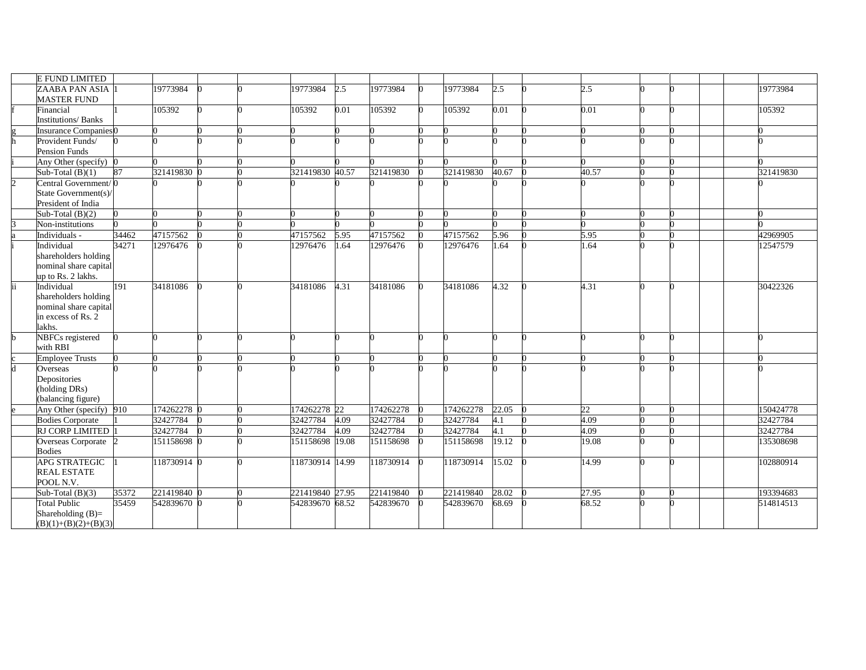|    | E FUND LIMITED                          |       |             |  |                 |       |           |              |                   |       |  |           |
|----|-----------------------------------------|-------|-------------|--|-----------------|-------|-----------|--------------|-------------------|-------|--|-----------|
|    | <b>ZAABA PAN ASIA</b> 1                 |       | 19773984    |  | 19773984        | 2.5   | 19773984  | 19773984     | 2.5               | 2.5   |  | 19773984  |
|    | <b>MASTER FUND</b>                      |       |             |  |                 |       |           |              |                   |       |  |           |
|    | Financial                               |       | 105392      |  | 105392          | 0.01  | 105392    | 105392       | 0.01              | 0.01  |  | 105392    |
|    | <b>Institutions/Banks</b>               |       |             |  |                 |       |           |              |                   |       |  |           |
|    | <b>Insurance Companies</b> <sup>0</sup> |       |             |  |                 |       |           |              |                   |       |  |           |
| h  | Provident Funds/                        |       |             |  |                 |       |           |              |                   |       |  |           |
|    | <b>Pension Funds</b>                    |       |             |  |                 |       |           |              |                   |       |  |           |
|    | Any Other (specify) 0                   |       |             |  |                 |       |           |              |                   |       |  |           |
|    | Sub-Total $(B)(1)$                      | 87    | 321419830 0 |  | 321419830 40.57 |       | 321419830 | 321419830    | 40.67             | 40.57 |  | 321419830 |
|    | Central Government/0                    |       |             |  |                 |       |           |              |                   |       |  |           |
|    | State Government(s)/                    |       |             |  |                 |       |           |              |                   |       |  |           |
|    | President of India                      |       |             |  |                 |       |           |              |                   |       |  |           |
|    | Sub-Total $(B)(2)$                      |       |             |  |                 |       |           | <sup>0</sup> |                   |       |  |           |
|    | Non-institutions                        |       |             |  |                 |       |           |              |                   |       |  |           |
|    | Individuals -                           | 34462 | 47157562    |  | 47157562        | 5.95  | 47157562  | 47157562     | 5.96              | 5.95  |  | 42969905  |
|    | Individual                              | 34271 | 12976476    |  | 12976476        | .64   | 12976476  | 12976476     | $\overline{1.64}$ | 1.64  |  | 12547579  |
|    | shareholders holding                    |       |             |  |                 |       |           |              |                   |       |  |           |
|    | nominal share capital                   |       |             |  |                 |       |           |              |                   |       |  |           |
|    | up to Rs. 2 lakhs.                      |       |             |  |                 |       |           |              |                   |       |  |           |
| ii | Individual                              | 191   | 34181086    |  | 34181086        | 4.31  | 34181086  | 34181086     | 4.32              | 4.31  |  | 30422326  |
|    | shareholders holding                    |       |             |  |                 |       |           |              |                   |       |  |           |
|    | nominal share capital                   |       |             |  |                 |       |           |              |                   |       |  |           |
|    | in excess of Rs. 2                      |       |             |  |                 |       |           |              |                   |       |  |           |
|    | lakhs.                                  |       |             |  |                 |       |           |              |                   |       |  |           |
| h  | NBFCs registered                        |       |             |  |                 |       |           |              |                   |       |  |           |
|    | with RBI                                |       |             |  |                 |       |           |              |                   |       |  |           |
|    | <b>Employee Trusts</b>                  |       |             |  |                 |       |           |              |                   |       |  |           |
| d  | Overseas                                |       |             |  |                 |       |           |              |                   |       |  |           |
|    | Depositories                            |       |             |  |                 |       |           |              |                   |       |  |           |
|    | (holding DRs)                           |       |             |  |                 |       |           |              |                   |       |  |           |
|    | (balancing figure)                      |       |             |  |                 |       |           |              |                   |       |  |           |
|    | Any Other (specify) 910                 |       | 174262278 0 |  | 174262278 22    |       | 174262278 | 174262278    | 22.05             | 22    |  | 150424778 |
|    | <b>Bodies Corporate</b>                 |       | 32427784    |  | 32427784        | 4.09  | 32427784  | 32427784     | 4.1               | 4.09  |  | 32427784  |
|    | RJ CORP LIMITED                         |       | 32427784    |  | 32427784        | 4.09  | 32427784  | 32427784     | 4.1               | 4.09  |  | 32427784  |
|    | Overseas Corporate                      |       | 151158698   |  | 151158698       | 19.08 | 151158698 | 151158698    | 19.12             | 19.08 |  | 135308698 |
|    | <b>Bodies</b>                           |       |             |  |                 |       |           |              |                   |       |  |           |
|    | <b>APG STRATEGIC</b>                    |       | 118730914 0 |  | 118730914 14.99 |       | 118730914 | 118730914    | 15.02             | 14.99 |  | 102880914 |
|    | <b>REAL ESTATE</b>                      |       |             |  |                 |       |           |              |                   |       |  |           |
|    | POOL N.V.                               |       |             |  |                 |       |           |              |                   |       |  |           |
|    | Sub-Total $(B)(3)$                      | 35372 | 221419840 0 |  | 221419840 27.95 |       | 221419840 | 221419840    | 28.02             | 27.95 |  | 193394683 |
|    | <b>Total Public</b>                     | 35459 | 542839670 0 |  | 542839670 68.52 |       | 542839670 | 542839670    | 68.69             | 68.52 |  | 514814513 |
|    | Shareholding $(B)=$                     |       |             |  |                 |       |           |              |                   |       |  |           |
|    | $(B)(1)+(B)(2)+(B)(3)$                  |       |             |  |                 |       |           |              |                   |       |  |           |